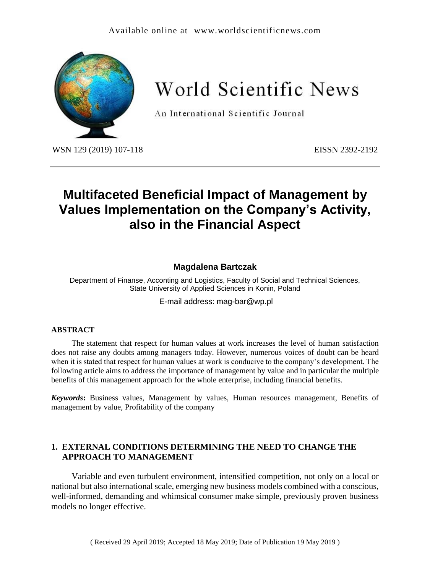## Available online at [www.worldscientificnews.com](http://www.worldscientificnews.com/)



World Scientific News

An International Scientific Journal

WSN 129 (2019) 107-118 EISSN 2392-2192

# **Multifaceted Beneficial Impact of Management by Values Implementation on the Company's Activity, also in the Financial Aspect**

## **Magdalena Bartczak**

Department of Finanse, Acconting and Logistics, Faculty of Social and Technical Sciences, State University of Applied Sciences in Konin, Poland

E-mail address: [mag-bar@wp.pl](mailto:mag-bar@wp.pl)

#### **ABSTRACT**

The statement that respect for human values at work increases the level of human satisfaction does not raise any doubts among managers today. However, numerous voices of doubt can be heard when it is stated that respect for human values at work is conducive to the company's development. The following article aims to address the importance of management by value and in particular the multiple benefits of this management approach for the whole enterprise, including financial benefits.

*Keywords***:** Business values, Management by values, Human resources management, Benefits of management by value, Profitability of the company

## **1. EXTERNAL CONDITIONS DETERMINING THE NEED TO CHANGE THE APPROACH TO MANAGEMENT**

Variable and even turbulent environment, intensified competition, not only on a local or national but also international scale, emerging new business models combined with a conscious, well-informed, demanding and whimsical consumer make simple, previously proven business models no longer effective.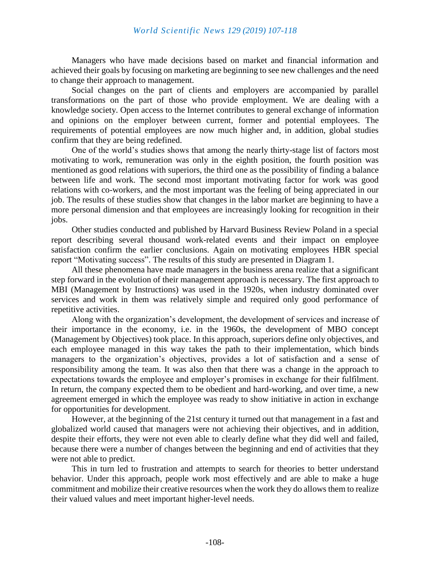Managers who have made decisions based on market and financial information and achieved their goals by focusing on marketing are beginning to see new challenges and the need to change their approach to management.

Social changes on the part of clients and employers are accompanied by parallel transformations on the part of those who provide employment. We are dealing with a knowledge society. Open access to the Internet contributes to general exchange of information and opinions on the employer between current, former and potential employees. The requirements of potential employees are now much higher and, in addition, global studies confirm that they are being redefined.

One of the world's studies shows that among the nearly thirty-stage list of factors most motivating to work, remuneration was only in the eighth position, the fourth position was mentioned as good relations with superiors, the third one as the possibility of finding a balance between life and work. The second most important motivating factor for work was good relations with co-workers, and the most important was the feeling of being appreciated in our job. The results of these studies show that changes in the labor market are beginning to have a more personal dimension and that employees are increasingly looking for recognition in their jobs.

Other studies conducted and published by Harvard Business Review Poland in a special report describing several thousand work-related events and their impact on employee satisfaction confirm the earlier conclusions. Again on motivating employees HBR special report "Motivating success". The results of this study are presented in Diagram 1.

All these phenomena have made managers in the business arena realize that a significant step forward in the evolution of their management approach is necessary. The first approach to MBI (Management by Instructions) was used in the 1920s, when industry dominated over services and work in them was relatively simple and required only good performance of repetitive activities.

Along with the organization's development, the development of services and increase of their importance in the economy, i.e. in the 1960s, the development of MBO concept (Management by Objectives) took place. In this approach, superiors define only objectives, and each employee managed in this way takes the path to their implementation, which binds managers to the organization's objectives, provides a lot of satisfaction and a sense of responsibility among the team. It was also then that there was a change in the approach to expectations towards the employee and employer's promises in exchange for their fulfilment. In return, the company expected them to be obedient and hard-working, and over time, a new agreement emerged in which the employee was ready to show initiative in action in exchange for opportunities for development.

However, at the beginning of the 21st century it turned out that management in a fast and globalized world caused that managers were not achieving their objectives, and in addition, despite their efforts, they were not even able to clearly define what they did well and failed, because there were a number of changes between the beginning and end of activities that they were not able to predict.

This in turn led to frustration and attempts to search for theories to better understand behavior. Under this approach, people work most effectively and are able to make a huge commitment and mobilize their creative resources when the work they do allows them to realize their valued values and meet important higher-level needs.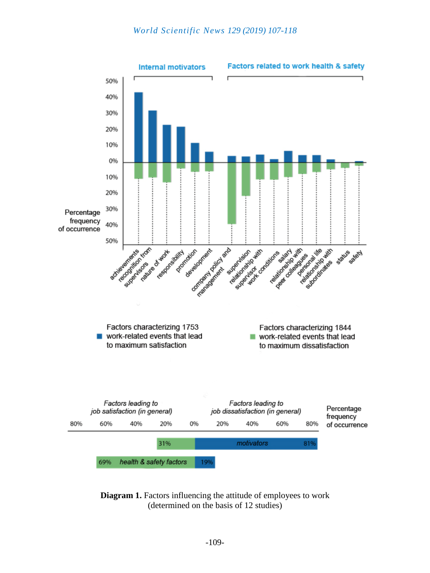

**Diagram 1.** Factors influencing the attitude of employees to work (determined on the basis of 12 studies)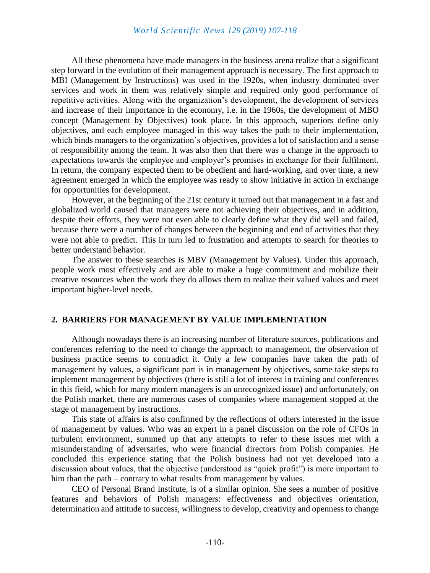All these phenomena have made managers in the business arena realize that a significant step forward in the evolution of their management approach is necessary. The first approach to MBI (Management by Instructions) was used in the 1920s, when industry dominated over services and work in them was relatively simple and required only good performance of repetitive activities. Along with the organization's development, the development of services and increase of their importance in the economy, i.e. in the 1960s, the development of MBO concept (Management by Objectives) took place. In this approach, superiors define only objectives, and each employee managed in this way takes the path to their implementation, which binds managers to the organization's objectives, provides a lot of satisfaction and a sense of responsibility among the team. It was also then that there was a change in the approach to expectations towards the employee and employer's promises in exchange for their fulfilment. In return, the company expected them to be obedient and hard-working, and over time, a new agreement emerged in which the employee was ready to show initiative in action in exchange for opportunities for development.

However, at the beginning of the 21st century it turned out that management in a fast and globalized world caused that managers were not achieving their objectives, and in addition, despite their efforts, they were not even able to clearly define what they did well and failed, because there were a number of changes between the beginning and end of activities that they were not able to predict. This in turn led to frustration and attempts to search for theories to better understand behavior.

The answer to these searches is MBV (Management by Values). Under this approach, people work most effectively and are able to make a huge commitment and mobilize their creative resources when the work they do allows them to realize their valued values and meet important higher-level needs.

## **2. BARRIERS FOR MANAGEMENT BY VALUE IMPLEMENTATION**

Although nowadays there is an increasing number of literature sources, publications and conferences referring to the need to change the approach to management, the observation of business practice seems to contradict it. Only a few companies have taken the path of management by values, a significant part is in management by objectives, some take steps to implement management by objectives (there is still a lot of interest in training and conferences in this field, which for many modern managers is an unrecognized issue) and unfortunately, on the Polish market, there are numerous cases of companies where management stopped at the stage of management by instructions.

This state of affairs is also confirmed by the reflections of others interested in the issue of management by values. Who was an expert in a panel discussion on the role of CFOs in turbulent environment, summed up that any attempts to refer to these issues met with a misunderstanding of adversaries, who were financial directors from Polish companies. He concluded this experience stating that the Polish business had not yet developed into a discussion about values, that the objective (understood as "quick profit") is more important to him than the path – contrary to what results from management by values.

CEO of Personal Brand Institute, is of a similar opinion. She sees a number of positive features and behaviors of Polish managers: effectiveness and objectives orientation, determination and attitude to success, willingness to develop, creativity and openness to change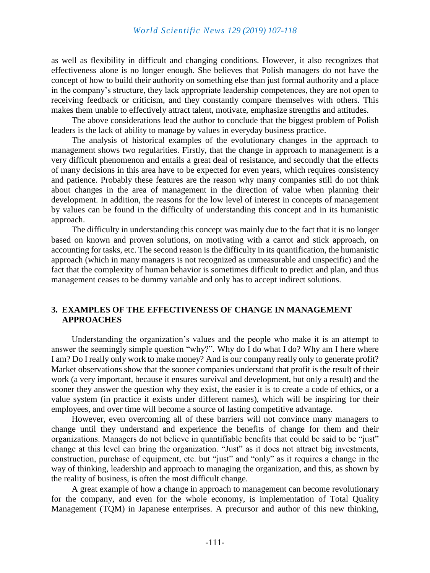as well as flexibility in difficult and changing conditions. However, it also recognizes that effectiveness alone is no longer enough. She believes that Polish managers do not have the concept of how to build their authority on something else than just formal authority and a place in the company's structure, they lack appropriate leadership competences, they are not open to receiving feedback or criticism, and they constantly compare themselves with others. This makes them unable to effectively attract talent, motivate, emphasize strengths and attitudes.

The above considerations lead the author to conclude that the biggest problem of Polish leaders is the lack of ability to manage by values in everyday business practice.

The analysis of historical examples of the evolutionary changes in the approach to management shows two regularities. Firstly, that the change in approach to management is a very difficult phenomenon and entails a great deal of resistance, and secondly that the effects of many decisions in this area have to be expected for even years, which requires consistency and patience. Probably these features are the reason why many companies still do not think about changes in the area of management in the direction of value when planning their development. In addition, the reasons for the low level of interest in concepts of management by values can be found in the difficulty of understanding this concept and in its humanistic approach.

The difficulty in understanding this concept was mainly due to the fact that it is no longer based on known and proven solutions, on motivating with a carrot and stick approach, on accounting for tasks, etc. The second reason is the difficulty in its quantification, the humanistic approach (which in many managers is not recognized as unmeasurable and unspecific) and the fact that the complexity of human behavior is sometimes difficult to predict and plan, and thus management ceases to be dummy variable and only has to accept indirect solutions.

## **3. EXAMPLES OF THE EFFECTIVENESS OF CHANGE IN MANAGEMENT APPROACHES**

Understanding the organization's values and the people who make it is an attempt to answer the seemingly simple question "why?". Why do I do what I do? Why am I here where I am? Do I really only work to make money? And is our company really only to generate profit? Market observations show that the sooner companies understand that profit is the result of their work (a very important, because it ensures survival and development, but only a result) and the sooner they answer the question why they exist, the easier it is to create a code of ethics, or a value system (in practice it exists under different names), which will be inspiring for their employees, and over time will become a source of lasting competitive advantage.

However, even overcoming all of these barriers will not convince many managers to change until they understand and experience the benefits of change for them and their organizations. Managers do not believe in quantifiable benefits that could be said to be "just" change at this level can bring the organization. "Just" as it does not attract big investments, construction, purchase of equipment, etc. but "just" and "only" as it requires a change in the way of thinking, leadership and approach to managing the organization, and this, as shown by the reality of business, is often the most difficult change.

A great example of how a change in approach to management can become revolutionary for the company, and even for the whole economy, is implementation of Total Quality Management (TQM) in Japanese enterprises. A precursor and author of this new thinking,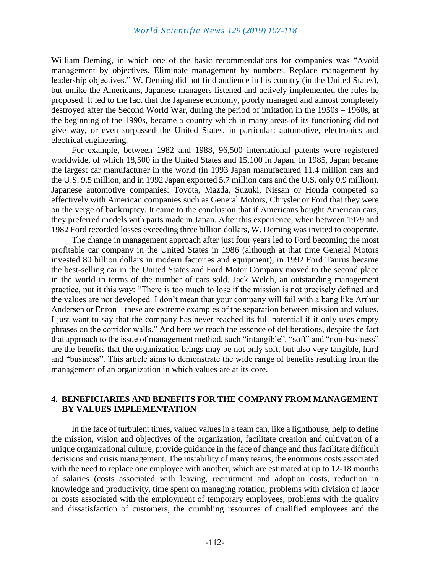William Deming, in which one of the basic recommendations for companies was "Avoid management by objectives. Eliminate management by numbers. Replace management by leadership objectives." W. Deming did not find audience in his country (in the United States), but unlike the Americans, Japanese managers listened and actively implemented the rules he proposed. It led to the fact that the Japanese economy, poorly managed and almost completely destroyed after the Second World War, during the period of imitation in the 1950s – 1960s, at the beginning of the 1990s, became a country which in many areas of its functioning did not give way, or even surpassed the United States, in particular: automotive, electronics and electrical engineering.

For example, between 1982 and 1988, 96,500 international patents were registered worldwide, of which 18,500 in the United States and 15,100 in Japan. In 1985, Japan became the largest car manufacturer in the world (in 1993 Japan manufactured 11.4 million cars and the U.S. 9.5 million, and in 1992 Japan exported 5.7 million cars and the U.S. only 0.9 million). Japanese automotive companies: Toyota, Mazda, Suzuki, Nissan or Honda competed so effectively with American companies such as General Motors, Chrysler or Ford that they were on the verge of bankruptcy. It came to the conclusion that if Americans bought American cars, they preferred models with parts made in Japan. After this experience, when between 1979 and 1982 Ford recorded losses exceeding three billion dollars, W. Deming was invited to cooperate.

The change in management approach after just four years led to Ford becoming the most profitable car company in the United States in 1986 (although at that time General Motors invested 80 billion dollars in modern factories and equipment), in 1992 Ford Taurus became the best-selling car in the United States and Ford Motor Company moved to the second place in the world in terms of the number of cars sold. Jack Welch, an outstanding management practice, put it this way: "There is too much to lose if the mission is not precisely defined and the values are not developed. I don't mean that your company will fail with a bang like Arthur Andersen or Enron – these are extreme examples of the separation between mission and values. I just want to say that the company has never reached its full potential if it only uses empty phrases on the corridor walls." And here we reach the essence of deliberations, despite the fact that approach to the issue of management method, such "intangible", "soft" and "non-business" are the benefits that the organization brings may be not only soft, but also very tangible, hard and "business". This article aims to demonstrate the wide range of benefits resulting from the management of an organization in which values are at its core.

## **4. BENEFICIARIES AND BENEFITS FOR THE COMPANY FROM MANAGEMENT BY VALUES IMPLEMENTATION**

In the face of turbulent times, valued values in a team can, like a lighthouse, help to define the mission, vision and objectives of the organization, facilitate creation and cultivation of a unique organizational culture, provide guidance in the face of change and thus facilitate difficult decisions and crisis management. The instability of many teams, the enormous costs associated with the need to replace one employee with another, which are estimated at up to 12-18 months of salaries (costs associated with leaving, recruitment and adoption costs, reduction in knowledge and productivity, time spent on managing rotation, problems with division of labor or costs associated with the employment of temporary employees, problems with the quality and dissatisfaction of customers, the crumbling resources of qualified employees and the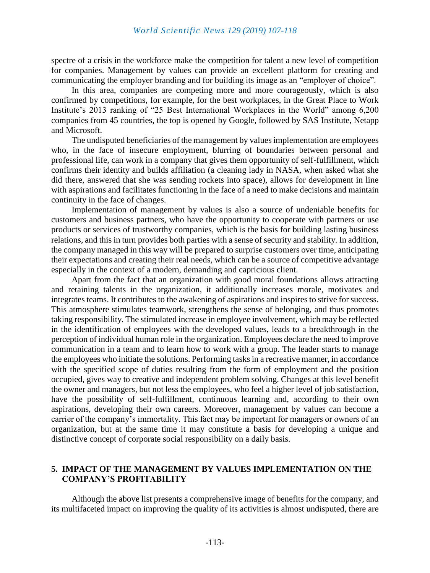spectre of a crisis in the workforce make the competition for talent a new level of competition for companies. Management by values can provide an excellent platform for creating and communicating the employer branding and for building its image as an "employer of choice".

In this area, companies are competing more and more courageously, which is also confirmed by competitions, for example, for the best workplaces, in the Great Place to Work Institute's 2013 ranking of "25 Best International Workplaces in the World" among 6,200 companies from 45 countries, the top is opened by Google, followed by SAS Institute, Netapp and Microsoft.

The undisputed beneficiaries of the management by values implementation are employees who, in the face of insecure employment, blurring of boundaries between personal and professional life, can work in a company that gives them opportunity of self-fulfillment, which confirms their identity and builds affiliation (a cleaning lady in NASA, when asked what she did there, answered that she was sending rockets into space), allows for development in line with aspirations and facilitates functioning in the face of a need to make decisions and maintain continuity in the face of changes.

Implementation of management by values is also a source of undeniable benefits for customers and business partners, who have the opportunity to cooperate with partners or use products or services of trustworthy companies, which is the basis for building lasting business relations, and this in turn provides both parties with a sense of security and stability. In addition, the company managed in this way will be prepared to surprise customers over time, anticipating their expectations and creating their real needs, which can be a source of competitive advantage especially in the context of a modern, demanding and capricious client.

Apart from the fact that an organization with good moral foundations allows attracting and retaining talents in the organization, it additionally increases morale, motivates and integrates teams. It contributes to the awakening of aspirations and inspires to strive for success. This atmosphere stimulates teamwork, strengthens the sense of belonging, and thus promotes taking responsibility. The stimulated increase in employee involvement, which may be reflected in the identification of employees with the developed values, leads to a breakthrough in the perception of individual human role in the organization. Employees declare the need to improve communication in a team and to learn how to work with a group. The leader starts to manage the employees who initiate the solutions. Performing tasks in a recreative manner, in accordance with the specified scope of duties resulting from the form of employment and the position occupied, gives way to creative and independent problem solving. Changes at this level benefit the owner and managers, but not less the employees, who feel a higher level of job satisfaction, have the possibility of self-fulfillment, continuous learning and, according to their own aspirations, developing their own careers. Moreover, management by values can become a carrier of the company's immortality. This fact may be important for managers or owners of an organization, but at the same time it may constitute a basis for developing a unique and distinctive concept of corporate social responsibility on a daily basis.

# **5. IMPACT OF THE MANAGEMENT BY VALUES IMPLEMENTATION ON THE COMPANY'S PROFITABILITY**

Although the above list presents a comprehensive image of benefits for the company, and its multifaceted impact on improving the quality of its activities is almost undisputed, there are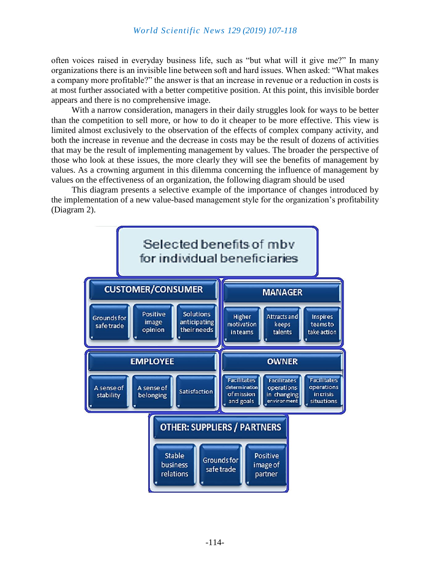often voices raised in everyday business life, such as "but what will it give me?" In many organizations there is an invisible line between soft and hard issues. When asked: "What makes a company more profitable?" the answer is that an increase in revenue or a reduction in costs is at most further associated with a better competitive position. At this point, this invisible border appears and there is no comprehensive image.

With a narrow consideration, managers in their daily struggles look for ways to be better than the competition to sell more, or how to do it cheaper to be more effective. This view is limited almost exclusively to the observation of the effects of complex company activity, and both the increase in revenue and the decrease in costs may be the result of dozens of activities that may be the result of implementing management by values. The broader the perspective of those who look at these issues, the more clearly they will see the benefits of management by values. As a crowning argument in this dilemma concerning the influence of management by values on the effectiveness of an organization, the following diagram should be used

This diagram presents a selective example of the importance of changes introduced by the implementation of a new value-based management style for the organization's profitability (Diagram 2).

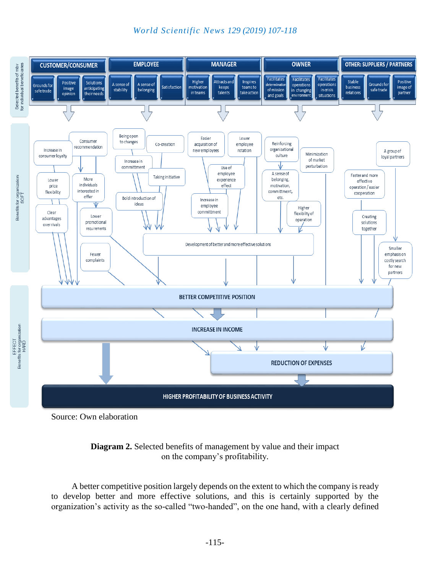



Source: Own elaboration



A better competitive position largely depends on the extent to which the company is ready to develop better and more effective solutions, and this is certainly supported by the organization's activity as the so-called "two-handed", on the one hand, with a clearly defined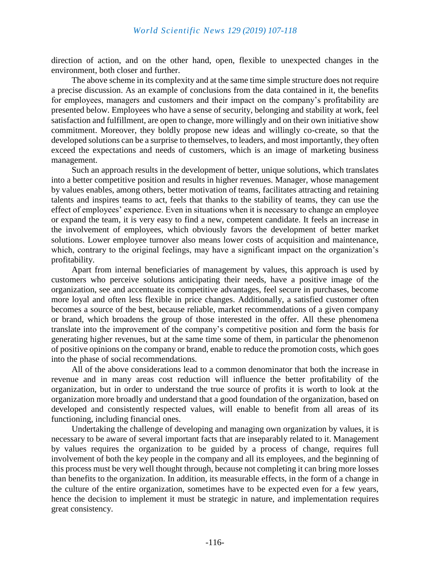direction of action, and on the other hand, open, flexible to unexpected changes in the environment, both closer and further.

The above scheme in its complexity and at the same time simple structure does not require a precise discussion. As an example of conclusions from the data contained in it, the benefits for employees, managers and customers and their impact on the company's profitability are presented below. Employees who have a sense of security, belonging and stability at work, feel satisfaction and fulfillment, are open to change, more willingly and on their own initiative show commitment. Moreover, they boldly propose new ideas and willingly co-create, so that the developed solutions can be a surprise to themselves, to leaders, and most importantly, they often exceed the expectations and needs of customers, which is an image of marketing business management.

Such an approach results in the development of better, unique solutions, which translates into a better competitive position and results in higher revenues. Manager, whose management by values enables, among others, better motivation of teams, facilitates attracting and retaining talents and inspires teams to act, feels that thanks to the stability of teams, they can use the effect of employees' experience. Even in situations when it is necessary to change an employee or expand the team, it is very easy to find a new, competent candidate. It feels an increase in the involvement of employees, which obviously favors the development of better market solutions. Lower employee turnover also means lower costs of acquisition and maintenance, which, contrary to the original feelings, may have a significant impact on the organization's profitability.

Apart from internal beneficiaries of management by values, this approach is used by customers who perceive solutions anticipating their needs, have a positive image of the organization, see and accentuate its competitive advantages, feel secure in purchases, become more loyal and often less flexible in price changes. Additionally, a satisfied customer often becomes a source of the best, because reliable, market recommendations of a given company or brand, which broadens the group of those interested in the offer. All these phenomena translate into the improvement of the company's competitive position and form the basis for generating higher revenues, but at the same time some of them, in particular the phenomenon of positive opinions on the company or brand, enable to reduce the promotion costs, which goes into the phase of social recommendations.

All of the above considerations lead to a common denominator that both the increase in revenue and in many areas cost reduction will influence the better profitability of the organization, but in order to understand the true source of profits it is worth to look at the organization more broadly and understand that a good foundation of the organization, based on developed and consistently respected values, will enable to benefit from all areas of its functioning, including financial ones.

Undertaking the challenge of developing and managing own organization by values, it is necessary to be aware of several important facts that are inseparably related to it. Management by values requires the organization to be guided by a process of change, requires full involvement of both the key people in the company and all its employees, and the beginning of this process must be very well thought through, because not completing it can bring more losses than benefits to the organization. In addition, its measurable effects, in the form of a change in the culture of the entire organization, sometimes have to be expected even for a few years, hence the decision to implement it must be strategic in nature, and implementation requires great consistency.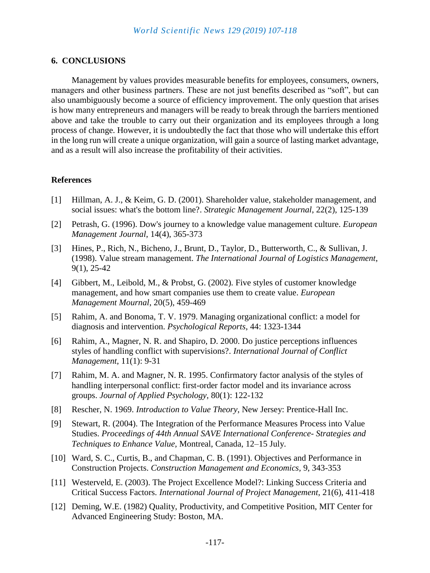## **6. CONCLUSIONS**

Management by values provides measurable benefits for employees, consumers, owners, managers and other business partners. These are not just benefits described as "soft", but can also unambiguously become a source of efficiency improvement. The only question that arises is how many entrepreneurs and managers will be ready to break through the barriers mentioned above and take the trouble to carry out their organization and its employees through a long process of change. However, it is undoubtedly the fact that those who will undertake this effort in the long run will create a unique organization, will gain a source of lasting market advantage, and as a result will also increase the profitability of their activities.

#### **References**

- [1] Hillman, A. J., & Keim, G. D. (2001). Shareholder value, stakeholder management, and social issues: what's the bottom line?. *Strategic Management Journal*, 22(2), 125-139
- [2] Petrash, G. (1996). Dow's journey to a knowledge value management culture. *European Management Journal*, 14(4), 365-373
- [3] Hines, P., Rich, N., Bicheno, J., Brunt, D., Taylor, D., Butterworth, C., & Sullivan, J. (1998). Value stream management. *The International Journal of Logistics Management*, 9(1), 25-42
- [4] Gibbert, M., Leibold, M., & Probst, G. (2002). Five styles of customer knowledge management, and how smart companies use them to create value. *European Management Mournal*, 20(5), 459-469
- [5] Rahim, A. and Bonoma, T. V. 1979. Managing organizational conflict: a model for diagnosis and intervention. *Psychological Reports*, 44: 1323-1344
- [6] Rahim, A., Magner, N. R. and Shapiro, D. 2000. Do justice perceptions influences styles of handling conflict with supervisions?. *International Journal of Conflict Management*, 11(1): 9-31
- [7] Rahim, M. A. and Magner, N. R. 1995. Confirmatory factor analysis of the styles of handling interpersonal conflict: first-order factor model and its invariance across groups. *Journal of Applied Psychology*, 80(1): 122-132
- [8] Rescher, N. 1969. *Introduction to Value Theory*, New Jersey: Prentice-Hall Inc.
- [9] Stewart, R. (2004). The Integration of the Performance Measures Process into Value Studies. *Proceedings of 44th Annual SAVE International Conference- Strategies and Techniques to Enhance Value,* Montreal, Canada, 12–15 July.
- [10] Ward, S. C., Curtis, B., and Chapman, C. B. (1991). Objectives and Performance in Construction Projects. *Construction Management and Economics,* 9, 343-353
- [11] Westerveld, E. (2003). The Project Excellence Model?: Linking Success Criteria and Critical Success Factors. *International Journal of Project Management,* 21(6), 411-418
- [12] Deming, W.E. (1982) Quality, Productivity, and Competitive Position, MIT Center for Advanced Engineering Study: Boston, MA.